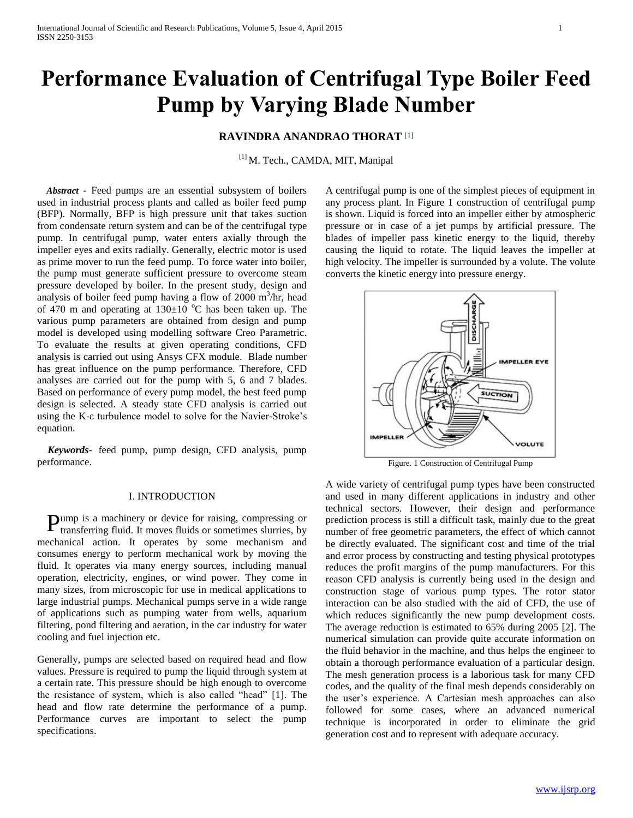# **Performance Evaluation of Centrifugal Type Boiler Feed Pump by Varying Blade Number**

# **RAVINDRA ANANDRAO THORAT** [1]

[1] M. Tech., CAMDA, MIT, Manipal

 *Abstract* **-** Feed pumps are an essential subsystem of boilers used in industrial process plants and called as boiler feed pump (BFP). Normally, BFP is high pressure unit that takes suction from condensate return system and can be of the centrifugal type pump. In centrifugal pump, water enters axially through the impeller eyes and exits radially. Generally, electric motor is used as prime mover to run the feed pump. To force water into boiler, the pump must generate sufficient pressure to overcome steam pressure developed by boiler. In the present study, design and analysis of boiler feed pump having a flow of  $2000 \text{ m}^3/\text{hr}$ , head of 470 m and operating at  $130\pm10$  °C has been taken up. The various pump parameters are obtained from design and pump model is developed using modelling software Creo Parametric. To evaluate the results at given operating conditions, CFD analysis is carried out using Ansys CFX module. Blade number has great influence on the pump performance. Therefore, CFD analyses are carried out for the pump with 5, 6 and 7 blades. Based on performance of every pump model, the best feed pump design is selected. A steady state CFD analysis is carried out using the K-ε turbulence model to solve for the Navier-Stroke's equation.

 *Keywords*- feed pump, pump design, CFD analysis, pump performance.

### I. INTRODUCTION

Pump is a machinery or device for raising, compressing or transferring fluid. It moves fluids or sometimes slurries, by transferring fluid. It moves fluids or sometimes slurries, by mechanical action. It operates by some mechanism and consumes energy to perform mechanical work by moving the fluid. It operates via many energy sources, including manual operation, electricity, engines, or wind power. They come in many sizes, from microscopic for use in medical applications to large industrial pumps. Mechanical pumps serve in a wide range of applications such as pumping water from wells, aquarium filtering, pond filtering and aeration, in the car industry for water cooling and fuel injection etc.

Generally, pumps are selected based on required head and flow values. Pressure is required to pump the liquid through system at a certain rate. This pressure should be high enough to overcome the resistance of system, which is also called "head" [1]. The head and flow rate determine the performance of a pump. Performance curves are important to select the pump specifications.

A centrifugal pump is one of the simplest pieces of equipment in any process plant. In Figure 1 construction of centrifugal pump is shown. Liquid is forced into an impeller either by atmospheric pressure or in case of a jet pumps by artificial pressure. The blades of impeller pass kinetic energy to the liquid, thereby causing the liquid to rotate. The liquid leaves the impeller at high velocity. The impeller is surrounded by a volute. The volute converts the kinetic energy into pressure energy.



Figure. 1 Construction of Centrifugal Pump

A wide variety of centrifugal pump types have been constructed and used in many different applications in industry and other technical sectors. However, their design and performance prediction process is still a difficult task, mainly due to the great number of free geometric parameters, the effect of which cannot be directly evaluated. The significant cost and time of the trial and error process by constructing and testing physical prototypes reduces the profit margins of the pump manufacturers. For this reason CFD analysis is currently being used in the design and construction stage of various pump types. The rotor stator interaction can be also studied with the aid of CFD, the use of which reduces significantly the new pump development costs. The average reduction is estimated to 65% during 2005 [2]. The numerical simulation can provide quite accurate information on the fluid behavior in the machine, and thus helps the engineer to obtain a thorough performance evaluation of a particular design. The mesh generation process is a laborious task for many CFD codes, and the quality of the final mesh depends considerably on the user's experience. A Cartesian mesh approaches can also followed for some cases, where an advanced numerical technique is incorporated in order to eliminate the grid generation cost and to represent with adequate accuracy.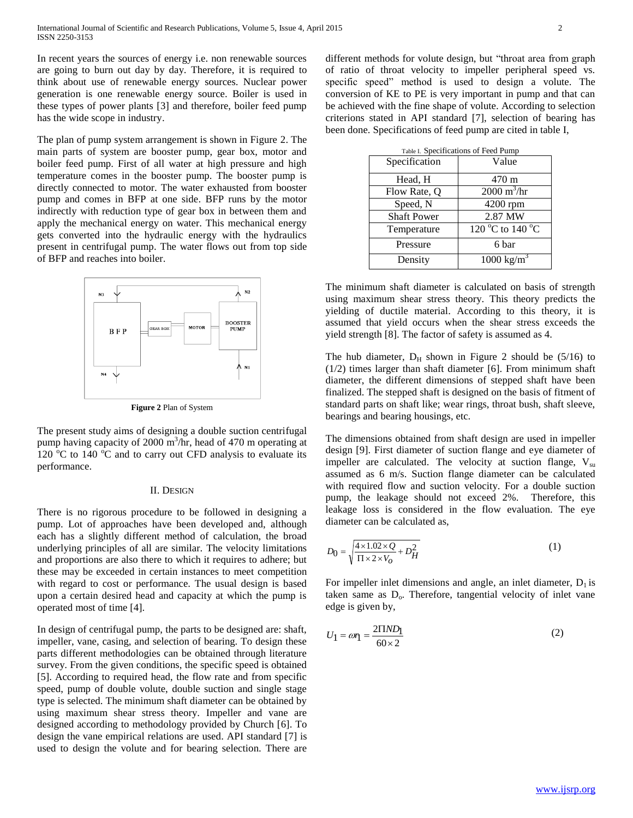In recent years the sources of energy i.e. non renewable sources are going to burn out day by day. Therefore, it is required to think about use of renewable energy sources. Nuclear power generation is one renewable energy source. Boiler is used in these types of power plants [3] and therefore, boiler feed pump has the wide scope in industry.

The plan of pump system arrangement is shown in Figure 2. The main parts of system are booster pump, gear box, motor and boiler feed pump. First of all water at high pressure and high temperature comes in the booster pump. The booster pump is directly connected to motor. The water exhausted from booster pump and comes in BFP at one side. BFP runs by the motor indirectly with reduction type of gear box in between them and apply the mechanical energy on water. This mechanical energy gets converted into the hydraulic energy with the hydraulics present in centrifugal pump. The water flows out from top side of BFP and reaches into boiler.



**Figure 2** Plan of System

The present study aims of designing a double suction centrifugal pump having capacity of 2000 m<sup>3</sup>/hr, head of 470 m operating at 120  $\degree$ C to 140  $\degree$ C and to carry out CFD analysis to evaluate its performance.

#### II. DESIGN

There is no rigorous procedure to be followed in designing a pump. Lot of approaches have been developed and, although each has a slightly different method of calculation, the broad underlying principles of all are similar. The velocity limitations and proportions are also there to which it requires to adhere; but these may be exceeded in certain instances to meet competition with regard to cost or performance. The usual design is based upon a certain desired head and capacity at which the pump is operated most of time [4].

In design of centrifugal pump, the parts to be designed are: shaft, impeller, vane, casing, and selection of bearing. To design these parts different methodologies can be obtained through literature survey. From the given conditions, the specific speed is obtained [5]. According to required head, the flow rate and from specific speed, pump of double volute, double suction and single stage type is selected. The minimum shaft diameter can be obtained by using maximum shear stress theory. Impeller and vane are designed according to methodology provided by Church [6]. To design the vane empirical relations are used. API standard [7] is used to design the volute and for bearing selection. There are

different methods for volute design, but "throat area from graph of ratio of throat velocity to impeller peripheral speed vs. specific speed" method is used to design a volute. The conversion of KE to PE is very important in pump and that can be achieved with the fine shape of volute. According to selection criterions stated in API standard [7], selection of bearing has been done. Specifications of feed pump are cited in table I,

| Table I. Specifications of Feed Pump |                              |  |
|--------------------------------------|------------------------------|--|
| Specification                        | Value                        |  |
| Head, H                              | 470 m                        |  |
| Flow Rate, Q                         | $2000 \text{ m}^3/\text{hr}$ |  |
| Speed, N                             | $4200$ rpm                   |  |
| <b>Shaft Power</b>                   | 2.87 MW                      |  |
| Temperature                          | 120 °C to 140 °C             |  |
| Pressure                             | 6 bar                        |  |
| Density                              | $1000 \text{ kg/m}^3$        |  |

The minimum shaft diameter is calculated on basis of strength using maximum shear stress theory. This theory predicts the yielding of ductile material. According to this theory, it is assumed that yield occurs when the shear stress exceeds the yield strength [8]. The factor of safety is assumed as 4.

The hub diameter,  $D_H$  shown in Figure 2 should be (5/16) to (1/2) times larger than shaft diameter [6]. From minimum shaft diameter, the different dimensions of stepped shaft have been finalized. The stepped shaft is designed on the basis of fitment of standard parts on shaft like; wear rings, throat bush, shaft sleeve, bearings and bearing housings, etc.

The dimensions obtained from shaft design are used in impeller design [9]. First diameter of suction flange and eye diameter of impeller are calculated. The velocity at suction flange,  $V_{su}$ assumed as 6 m/s. Suction flange diameter can be calculated with required flow and suction velocity. For a double suction pump, the leakage should not exceed 2%. Therefore, this leakage loss is considered in the flow evaluation. The eye diameter can be calculated as,

$$
D_0 = \sqrt{\frac{4 \times 1.02 \times Q}{\Pi \times 2 \times V_O} + D_H^2}
$$
 (1)

For impeller inlet dimensions and angle, an inlet diameter,  $D_1$  is taken same as  $D_0$ . Therefore, tangential velocity of inlet vane edge is given by,

$$
U_1 = \omega \eta = \frac{2\Pi N D_1}{60 \times 2} \tag{2}
$$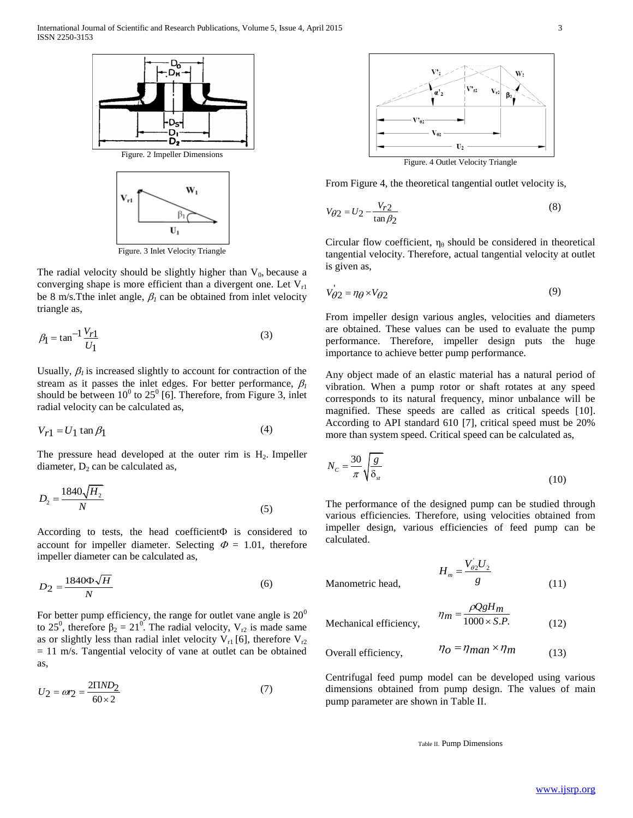

Figure. 3 Inlet Velocity Triangle

The radial velocity should be slightly higher than  $V_0$ , because a converging shape is more efficient than a divergent one. Let  $V_{r1}$ be 8 m/s. The inlet angle,  $\beta_l$  can be obtained from inlet velocity triangle as,

$$
\beta_1 = \tan^{-1} \frac{V_{r1}}{U_1} \tag{3}
$$

Usually,  $\beta_i$  is increased slightly to account for contraction of the stream as it passes the inlet edges. For better performance,  $\beta_l$ should be between  $10^0$  to  $25^0$  [6]. Therefore, from Figure 3, inlet radial velocity can be calculated as,

$$
V_{r1} = U_1 \tan \beta_1 \tag{4}
$$

The pressure head developed at the outer rim is  $H_2$ . Impeller diameter,  $D_2$  can be calculated as,

$$
D_2 = \frac{1840\sqrt{H_2}}{N} \tag{5}
$$

According to tests, the head coefficient $\Phi$  is considered to account for impeller diameter. Selecting  $\Phi = 1.01$ , therefore impeller diameter can be calculated as,

$$
D_2 = \frac{1840\Phi\sqrt{H}}{N} \tag{6}
$$

For better pump efficiency, the range for outlet vane angle is  $20^{\circ}$ to 25<sup>0</sup>, therefore  $\beta_2 = 21^0$ . The radial velocity,  $V_{r2}$  is made same as or slightly less than radial inlet velocity  $V_{r1}$  [6], therefore  $V_{r2}$  $= 11$  m/s. Tangential velocity of vane at outlet can be obtained as,

$$
U_2 = \omega r_2 = \frac{2 \Pi N D_2}{60 \times 2} \tag{7}
$$



Figure. 4 Outlet Velocity Triangle

From Figure 4, the theoretical tangential outlet velocity is,

$$
V_{\theta 2} = U_2 - \frac{V_{r2}}{\tan \beta_2} \tag{8}
$$

Circular flow coefficient,  $\eta_\theta$  should be considered in theoretical tangential velocity. Therefore, actual tangential velocity at outlet is given as,

$$
V_{\theta 2} = \eta_{\theta} \times V_{\theta 2} \tag{9}
$$

From impeller design various angles, velocities and diameters are obtained. These values can be used to evaluate the pump performance. Therefore, impeller design puts the huge importance to achieve better pump performance.

Any object made of an elastic material has a natural period of vibration. When a pump rotor or shaft rotates at any speed corresponds to its natural frequency, minor unbalance will be magnified. These speeds are called as critical speeds [10]. According to API standard 610 [7], critical speed must be 20% more than system speed. Critical speed can be calculated as,

$$
N_c = \frac{30}{\pi} \sqrt{\frac{g}{\delta_{st}}} \tag{10}
$$

The performance of the designed pump can be studied through various efficiencies. Therefore, using velocities obtained from impeller design, various efficiencies of feed pump can be calculated.

Manometric head,

$$
H_m = \frac{V_{02}'U_2}{g} \tag{11}
$$

 $Q_{\text{H}}$ 

$$
\eta_m = \frac{\rho Q g H_m}{1000 \times S.P.}
$$
 (12)

Overall efficiency, 
$$
\eta_O = \eta_{man} \times \eta_m
$$
 (13)

Centrifugal feed pump model can be developed using various dimensions obtained from pump design. The values of main pump parameter are shown in Table II.

Table II. Pump Dimensions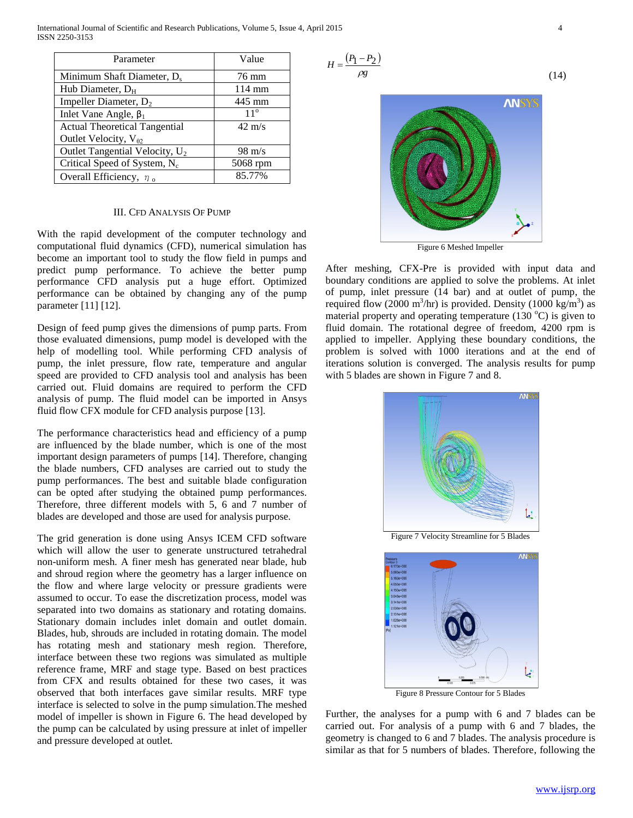International Journal of Scientific and Research Publications, Volume 5, Issue 4, April 2015 4 ISSN 2250-3153

| Parameter                                  | Value            |
|--------------------------------------------|------------------|
| Minimum Shaft Diameter, D <sub>s</sub>     | 76 mm            |
| Hub Diameter, $D_H$                        | $114 \text{ mm}$ |
| Impeller Diameter, $D_2$                   | 445 mm           |
| Inlet Vane Angle, $\beta_1$                | $11^{\circ}$     |
| <b>Actual Theoretical Tangential</b>       | $42 \text{ m/s}$ |
| Outlet Velocity, $V_{\theta 2}$            |                  |
| Outlet Tangential Velocity, U <sub>2</sub> | $98 \text{ m/s}$ |
| Critical Speed of System, N <sub>c</sub>   | 5068 rpm         |
| Overall Efficiency, $\eta_0$               | 85.77%           |

#### III. CFD ANALYSIS OF PUMP

With the rapid development of the computer technology and computational fluid dynamics (CFD), numerical simulation has become an important tool to study the flow field in pumps and predict pump performance. To achieve the better pump performance CFD analysis put a huge effort. Optimized performance can be obtained by changing any of the pump parameter [11] [12].

Design of feed pump gives the dimensions of pump parts. From those evaluated dimensions, pump model is developed with the help of modelling tool. While performing CFD analysis of pump, the inlet pressure, flow rate, temperature and angular speed are provided to CFD analysis tool and analysis has been carried out. Fluid domains are required to perform the CFD analysis of pump. The fluid model can be imported in Ansys fluid flow CFX module for CFD analysis purpose [13].

The performance characteristics head and efficiency of a pump are influenced by the blade number, which is one of the most important design parameters of pumps [14]. Therefore, changing the blade numbers, CFD analyses are carried out to study the pump performances. The best and suitable blade configuration can be opted after studying the obtained pump performances. Therefore, three different models with 5, 6 and 7 number of blades are developed and those are used for analysis purpose.

The grid generation is done using Ansys ICEM CFD software which will allow the user to generate unstructured tetrahedral non-uniform mesh. A finer mesh has generated near blade, hub and shroud region where the geometry has a larger influence on the flow and where large velocity or pressure gradients were assumed to occur. To ease the discretization process, model was separated into two domains as stationary and rotating domains. Stationary domain includes inlet domain and outlet domain. Blades, hub, shrouds are included in rotating domain. The model has rotating mesh and stationary mesh region. Therefore, interface between these two regions was simulated as multiple reference frame, MRF and stage type. Based on best practices from CFX and results obtained for these two cases, it was observed that both interfaces gave similar results. MRF type interface is selected to solve in the pump simulation.The meshed model of impeller is shown in Figure 6. The head developed by the pump can be calculated by using pressure at inlet of impeller and pressure developed at outlet.





Figure 6 Meshed Impeller

After meshing, CFX-Pre is provided with input data and boundary conditions are applied to solve the problems. At inlet of pump, inlet pressure (14 bar) and at outlet of pump, the required flow (2000 m<sup>3</sup>/hr) is provided. Density (1000 kg/m<sup>3</sup>) as material property and operating temperature (130  $^{\circ}$ C) is given to fluid domain. The rotational degree of freedom, 4200 rpm is applied to impeller. Applying these boundary conditions, the problem is solved with 1000 iterations and at the end of iterations solution is converged. The analysis results for pump with 5 blades are shown in Figure 7 and 8.



Figure 7 Velocity Streamline for 5 Blades



Figure 8 Pressure Contour for 5 Blades

Further, the analyses for a pump with 6 and 7 blades can be carried out. For analysis of a pump with 6 and 7 blades, the geometry is changed to 6 and 7 blades. The analysis procedure is similar as that for 5 numbers of blades. Therefore, following the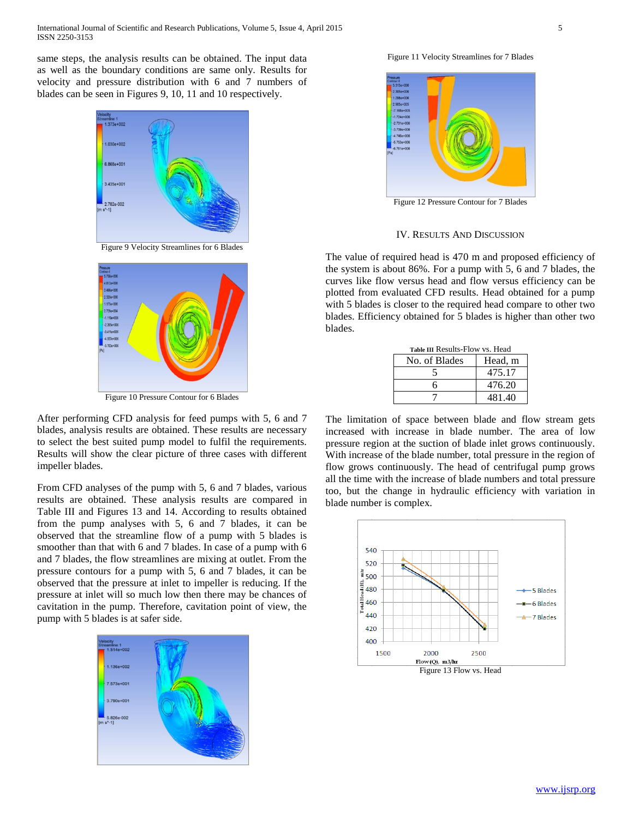same steps, the analysis results can be obtained. The input data as well as the boundary conditions are same only. Results for velocity and pressure distribution with 6 and 7 numbers of blades can be seen in Figures 9, 10, 11 and 10 respectively.



Figure 9 Velocity Streamlines for 6 Blades



Figure 10 Pressure Contour for 6 Blades

After performing CFD analysis for feed pumps with 5, 6 and 7 blades, analysis results are obtained. These results are necessary to select the best suited pump model to fulfil the requirements. Results will show the clear picture of three cases with different impeller blades.

From CFD analyses of the pump with 5, 6 and 7 blades, various results are obtained. These analysis results are compared in Table III and Figures 13 and 14. According to results obtained from the pump analyses with 5, 6 and 7 blades, it can be observed that the streamline flow of a pump with 5 blades is smoother than that with 6 and 7 blades. In case of a pump with 6 and 7 blades, the flow streamlines are mixing at outlet. From the pressure contours for a pump with 5, 6 and 7 blades, it can be observed that the pressure at inlet to impeller is reducing. If the pressure at inlet will so much low then there may be chances of cavitation in the pump. Therefore, cavitation point of view, the pump with 5 blades is at safer side.



Figure 11 Velocity Streamlines for 7 Blades



IV. RESULTS AND DISCUSSION

The value of required head is 470 m and proposed efficiency of the system is about 86%. For a pump with 5, 6 and 7 blades, the curves like flow versus head and flow versus efficiency can be plotted from evaluated CFD results. Head obtained for a pump with 5 blades is closer to the required head compare to other two blades. Efficiency obtained for 5 blades is higher than other two blades.

| Table III Results-Flow vs. Head |         |  |
|---------------------------------|---------|--|
| No. of Blades                   | Head, m |  |
|                                 | 475.17  |  |
| 6                               | 476.20  |  |
|                                 | 481.40  |  |

The limitation of space between blade and flow stream gets increased with increase in blade number. The area of low pressure region at the suction of blade inlet grows continuously. With increase of the blade number, total pressure in the region of flow grows continuously. The head of centrifugal pump grows all the time with the increase of blade numbers and total pressure too, but the change in hydraulic efficiency with variation in blade number is complex.